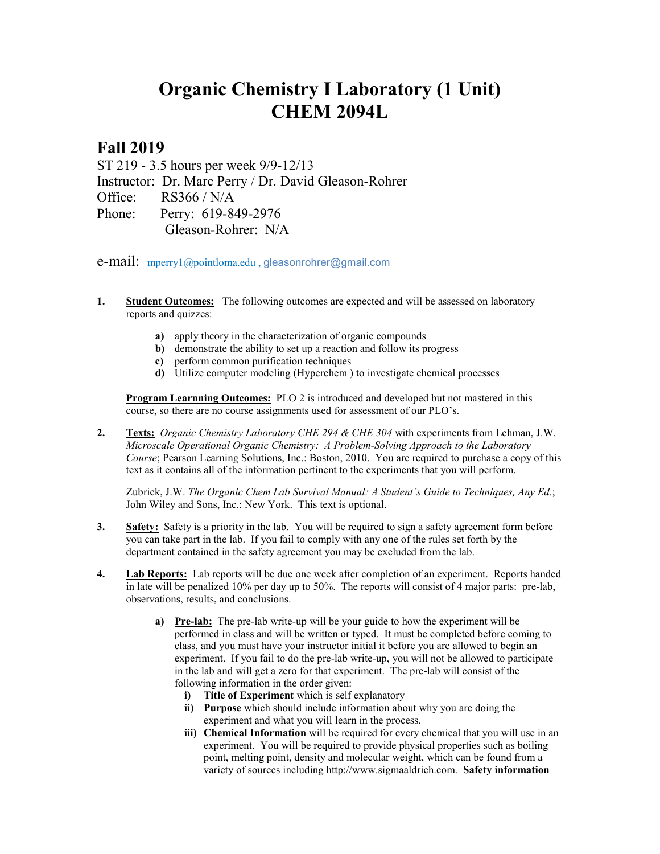## **Organic Chemistry I Laboratory (1 Unit) CHEM 2094L**

## **Fall 2019**

ST 219 - 3.5 hours per week 9/9-12/13 Instructor: Dr. Marc Perry / Dr. David Gleason-Rohrer Office: RS366 / N/A Phone: Perry: 619-849-2976 Gleason-Rohrer: N/A

e-mail: [mperry1@pointloma.edu](mailto:mperry1@pointloma.edu) , [gleasonrohrer@gmail.com](mailto:gleasonrohrer@gmail.com)

- **1. Student Outcomes:** The following outcomes are expected and will be assessed on laboratory reports and quizzes:
	- **a)** apply theory in the characterization of organic compounds
	- **b)** demonstrate the ability to set up a reaction and follow its progress
	- **c)** perform common purification techniques
	- **d)** Utilize computer modeling (Hyperchem ) to investigate chemical processes

**Program Learnning Outcomes:** PLO 2 is introduced and developed but not mastered in this course, so there are no course assignments used for assessment of our PLO's.

**2. Texts:** *Organic Chemistry Laboratory CHE 294 & CHE 304* with experiments from Lehman, J.W. *Microscale Operational Organic Chemistry: A Problem-Solving Approach to the Laboratory Course*; Pearson Learning Solutions, Inc.: Boston, 2010. You are required to purchase a copy of this text as it contains all of the information pertinent to the experiments that you will perform.

Zubrick, J.W. *The Organic Chem Lab Survival Manual: A Student's Guide to Techniques, Any Ed.*; John Wiley and Sons, Inc.: New York. This text is optional.

- **3. Safety:** Safety is a priority in the lab. You will be required to sign a safety agreement form before you can take part in the lab. If you fail to comply with any one of the rules set forth by the department contained in the safety agreement you may be excluded from the lab.
- **4. Lab Reports:** Lab reports will be due one week after completion of an experiment. Reports handed in late will be penalized 10% per day up to 50%. The reports will consist of 4 major parts: pre-lab, observations, results, and conclusions.
	- **a) Pre-lab:** The pre-lab write-up will be your guide to how the experiment will be performed in class and will be written or typed. It must be completed before coming to class, and you must have your instructor initial it before you are allowed to begin an experiment. If you fail to do the pre-lab write-up, you will not be allowed to participate in the lab and will get a zero for that experiment. The pre-lab will consist of the following information in the order given:
		- **i) Title of Experiment** which is self explanatory
		- **ii) Purpose** which should include information about why you are doing the experiment and what you will learn in the process.
		- **iii) Chemical Information** will be required for every chemical that you will use in an experiment. You will be required to provide physical properties such as boiling point, melting point, density and molecular weight, which can be found from a variety of sources including http://www.sigmaaldrich.com. **Safety information**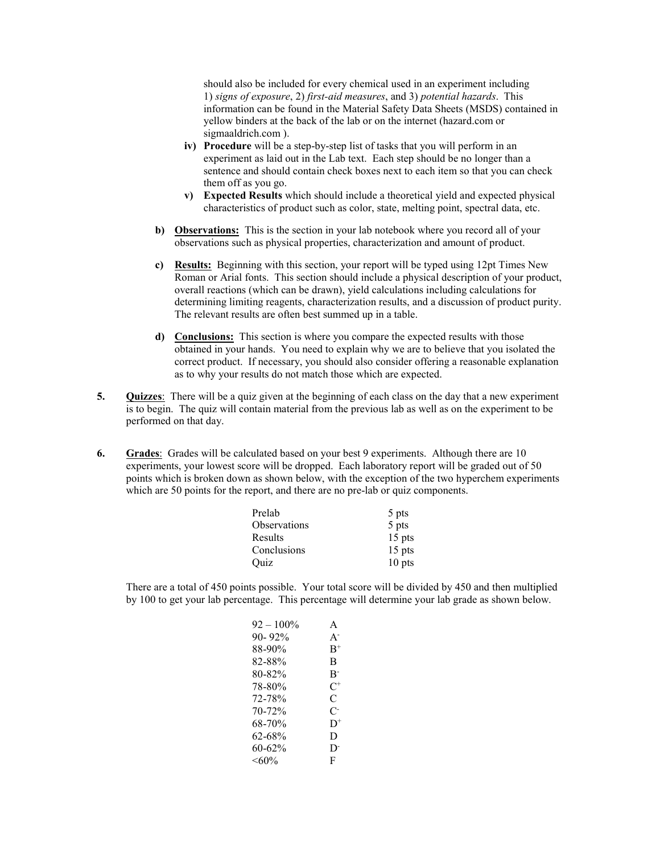should also be included for every chemical used in an experiment including 1) *signs of exposure*, 2) *first-aid measures*, and 3) *potential hazards*. This information can be found in the Material Safety Data Sheets (MSDS) contained in yellow binders at the back of the lab or on the internet (hazard.com or sigmaaldrich.com ).

- **iv) Procedure** will be a step-by-step list of tasks that you will perform in an experiment as laid out in the Lab text. Each step should be no longer than a sentence and should contain check boxes next to each item so that you can check them off as you go.
- **v) Expected Results** which should include a theoretical yield and expected physical characteristics of product such as color, state, melting point, spectral data, etc.
- **b) Observations:** This is the section in your lab notebook where you record all of your observations such as physical properties, characterization and amount of product.
- **c) Results:** Beginning with this section, your report will be typed using 12pt Times New Roman or Arial fonts. This section should include a physical description of your product, overall reactions (which can be drawn), yield calculations including calculations for determining limiting reagents, characterization results, and a discussion of product purity. The relevant results are often best summed up in a table.
- **d) Conclusions:** This section is where you compare the expected results with those obtained in your hands. You need to explain why we are to believe that you isolated the correct product. If necessary, you should also consider offering a reasonable explanation as to why your results do not match those which are expected.
- **5. Quizzes**: There will be a quiz given at the beginning of each class on the day that a new experiment is to begin. The quiz will contain material from the previous lab as well as on the experiment to be performed on that day.
- **6. Grades**:Grades will be calculated based on your best 9 experiments. Although there are 10 experiments, your lowest score will be dropped. Each laboratory report will be graded out of 50 points which is broken down as shown below, with the exception of the two hyperchem experiments which are 50 points for the report, and there are no pre-lab or quiz components.

| Prelab       | 5 pts    |
|--------------|----------|
| Observations | 5 pts    |
| Results      | 15 pts   |
| Conclusions  | $15$ pts |
| Ouiz         | $10$ pts |

There are a total of 450 points possible. Your total score will be divided by 450 and then multiplied by 100 to get your lab percentage. This percentage will determine your lab grade as shown below.

| $92 - 100\%$ | A       |
|--------------|---------|
| $90 - 92\%$  | $A^{-}$ |
| 88-90%       | $B^+$   |
| 82-88%       | B       |
| 80-82%       | $B^-$   |
| 78-80%       | $C^+$   |
| 72-78%       | C       |
| 70-72%       | C-      |
| 68-70%       | $D^+$   |
| 62-68%       | D       |
| 60-62%       | D.      |
| $<$ 60%      | F       |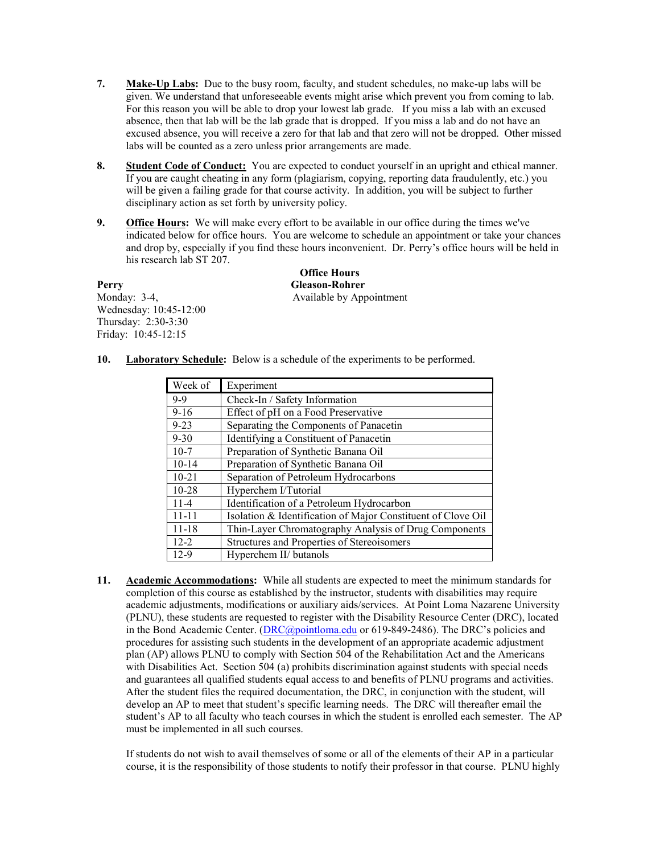- **7. Make-Up Labs:** Due to the busy room, faculty, and student schedules, no make-up labs will be given. We understand that unforeseeable events might arise which prevent you from coming to lab. For this reason you will be able to drop your lowest lab grade. If you miss a lab with an excused absence, then that lab will be the lab grade that is dropped. If you miss a lab and do not have an excused absence, you will receive a zero for that lab and that zero will not be dropped. Other missed labs will be counted as a zero unless prior arrangements are made.
- **8. Student Code of Conduct:** You are expected to conduct yourself in an upright and ethical manner. If you are caught cheating in any form (plagiarism, copying, reporting data fraudulently, etc.) you will be given a failing grade for that course activity. In addition, you will be subject to further disciplinary action as set forth by university policy.
- **9. Office Hours:** We will make every effort to be available in our office during the times we've indicated below for office hours. You are welcome to schedule an appointment or take your chances and drop by, especially if you find these hours inconvenient. Dr. Perry's office hours will be held in his research lab ST 207.

| Perry                  |
|------------------------|
| Monday: 3-4,           |
| Wednesday: 10:45-12:00 |
| Thursday: 2:30-3:30    |
| Friday: 10:45-12:15    |

**Office Hours Perry Gleason-Rohrer** Available by Appointment

**10. Laboratory Schedule:** Below is a schedule of the experiments to be performed.

| Week of   | Experiment                                                   |
|-----------|--------------------------------------------------------------|
| $9 - 9$   | Check-In / Safety Information                                |
| $9 - 16$  | Effect of pH on a Food Preservative                          |
| $9 - 23$  | Separating the Components of Panacetin                       |
| $9 - 30$  | Identifying a Constituent of Panacetin                       |
| $10-7$    | Preparation of Synthetic Banana Oil                          |
| $10-14$   | Preparation of Synthetic Banana Oil                          |
| $10 - 21$ | Separation of Petroleum Hydrocarbons                         |
| $10 - 28$ | Hyperchem I/Tutorial                                         |
| $11 - 4$  | Identification of a Petroleum Hydrocarbon                    |
| $11 - 11$ | Isolation & Identification of Major Constituent of Clove Oil |
| $11 - 18$ | Thin-Layer Chromatography Analysis of Drug Components        |
| $12 - 2$  | Structures and Properties of Stereoisomers                   |
| $12-9$    | Hyperchem II/ butanols                                       |

**11. Academic Accommodations:** While all students are expected to meet the minimum standards for completion of this course as established by the instructor, students with disabilities may require academic adjustments, modifications or auxiliary aids/services. At Point Loma Nazarene University (PLNU), these students are requested to register with the Disability Resource Center (DRC), located in the Bond Academic Center. [\(DRC@pointloma.edu](mailto:DRC@pointloma.edu) or 619-849-2486). The DRC's policies and procedures for assisting such students in the development of an appropriate academic adjustment plan (AP) allows PLNU to comply with Section 504 of the Rehabilitation Act and the Americans with Disabilities Act. Section 504 (a) prohibits discrimination against students with special needs and guarantees all qualified students equal access to and benefits of PLNU programs and activities. After the student files the required documentation, the DRC, in conjunction with the student, will develop an AP to meet that student's specific learning needs. The DRC will thereafter email the student's AP to all faculty who teach courses in which the student is enrolled each semester. The AP must be implemented in all such courses.

If students do not wish to avail themselves of some or all of the elements of their AP in a particular course, it is the responsibility of those students to notify their professor in that course. PLNU highly